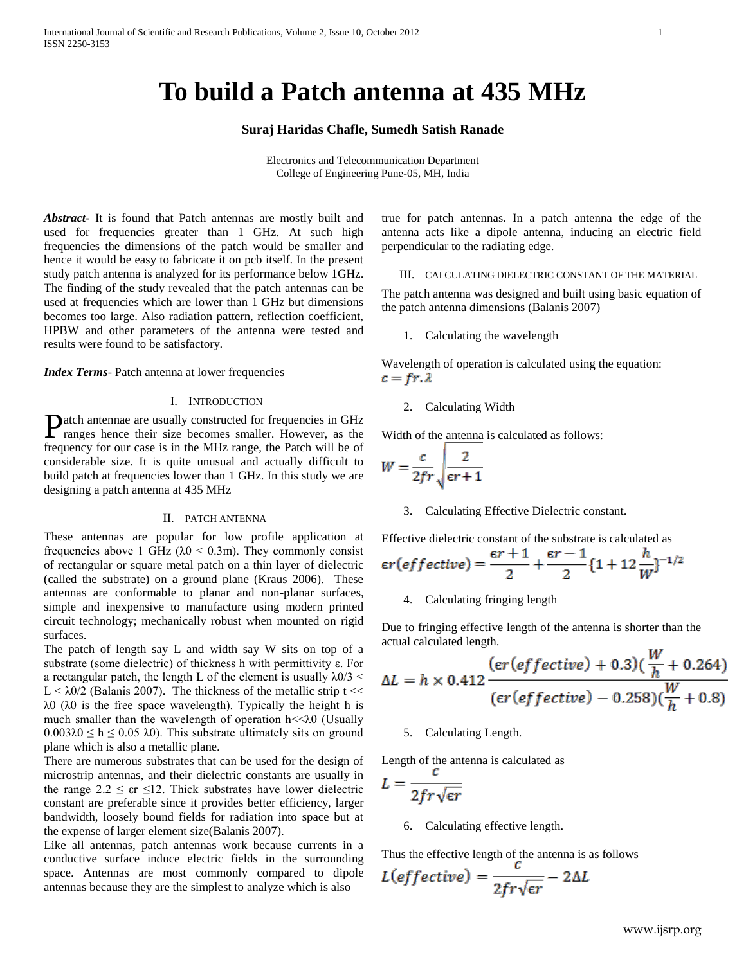# **To build a Patch antenna at 435 MHz**

# **Suraj Haridas Chafle, Sumedh Satish Ranade**

Electronics and Telecommunication Department College of Engineering Pune-05, MH, India

*Abstract***-** It is found that Patch antennas are mostly built and used for frequencies greater than 1 GHz. At such high frequencies the dimensions of the patch would be smaller and hence it would be easy to fabricate it on pcb itself. In the present study patch antenna is analyzed for its performance below 1GHz. The finding of the study revealed that the patch antennas can be used at frequencies which are lower than 1 GHz but dimensions becomes too large. Also radiation pattern, reflection coefficient, HPBW and other parameters of the antenna were tested and results were found to be satisfactory.

*Index Terms*- Patch antenna at lower frequencies

# I. INTRODUCTION

atch antennae are usually constructed for frequencies in GHz Patch antennae are usually constructed for frequencies in GHz ranges hence their size becomes smaller. However, as the frequency for our case is in the MHz range, the Patch will be of considerable size. It is quite unusual and actually difficult to build patch at frequencies lower than 1 GHz. In this study we are designing a patch antenna at 435 MHz

## II. PATCH ANTENNA

These antennas are popular for low profile application at frequencies above 1 GHz ( $\lambda$ 0 < 0.3m). They commonly consist of rectangular or square metal patch on a thin layer of dielectric (called the substrate) on a ground plane (Kraus 2006). These antennas are conformable to planar and non-planar surfaces, simple and inexpensive to manufacture using modern printed circuit technology; mechanically robust when mounted on rigid surfaces.

The patch of length say L and width say W sits on top of a substrate (some dielectric) of thickness h with permittivity ε. For a rectangular patch, the length L of the element is usually  $\lambda$ 0/3 < L  $\leq$   $\lambda$ 0/2 (Balanis 2007). The thickness of the metallic strip t  $<<$ λ0 (λ0 is the free space wavelength). Typically the height h is much smaller than the wavelength of operation  $h \ll \lambda 0$  (Usually  $0.003\lambda 0 \le h \le 0.05$   $\lambda$ 0). This substrate ultimately sits on ground plane which is also a metallic plane.

There are numerous substrates that can be used for the design of microstrip antennas, and their dielectric constants are usually in the range  $2.2 \leq \text{er } \leq 12$ . Thick substrates have lower dielectric constant are preferable since it provides better efficiency, larger bandwidth, loosely bound fields for radiation into space but at the expense of larger element size(Balanis 2007).

Like all antennas, patch antennas work because currents in a conductive surface induce electric fields in the surrounding space. Antennas are most commonly compared to dipole antennas because they are the simplest to analyze which is also

true for patch antennas. In a patch antenna the edge of the antenna acts like a dipole antenna, inducing an electric field perpendicular to the radiating edge.

# III. CALCULATING DIELECTRIC CONSTANT OF THE MATERIAL

The patch antenna was designed and built using basic equation of the patch antenna dimensions (Balanis 2007)

1. Calculating the wavelength

Wavelength of operation is calculated using the equation:  $c = fr \lambda$ 

2. Calculating Width

Width of the antenna is calculated as follows:

$$
W = \frac{c}{2fr} \sqrt{\frac{2}{\epsilon r + 1}}
$$

3. Calculating Effective Dielectric constant.

Effective dielectric constant of the substrate is calculated as

$$
\epsilon r\left(\text{effective}\right) = \frac{\epsilon r + 1}{2} + \frac{\epsilon r - 1}{2} \left\{1 + 12 \frac{h}{W}\right\}^{-1/2}
$$

4. Calculating fringing length

Due to fringing effective length of the antenna is shorter than the actual calculated length. **TAT** 

$$
\Delta L = h \times 0.412 \frac{(\epsilon r (effective) + 0.3)(\frac{W}{h} + 0.264)}{(\epsilon r (effective) - 0.258)(\frac{W}{h} + 0.8)}
$$

# 5. Calculating Length.

Length of the antenna is calculated as

$$
L=\frac{1}{2fr\sqrt{\epsilon r}}
$$

6. Calculating effective length.

Thus the effective length of the antenna is as follows

$$
L(effective) = \frac{c}{2fr\sqrt{\epsilon r}} - 2\Delta L
$$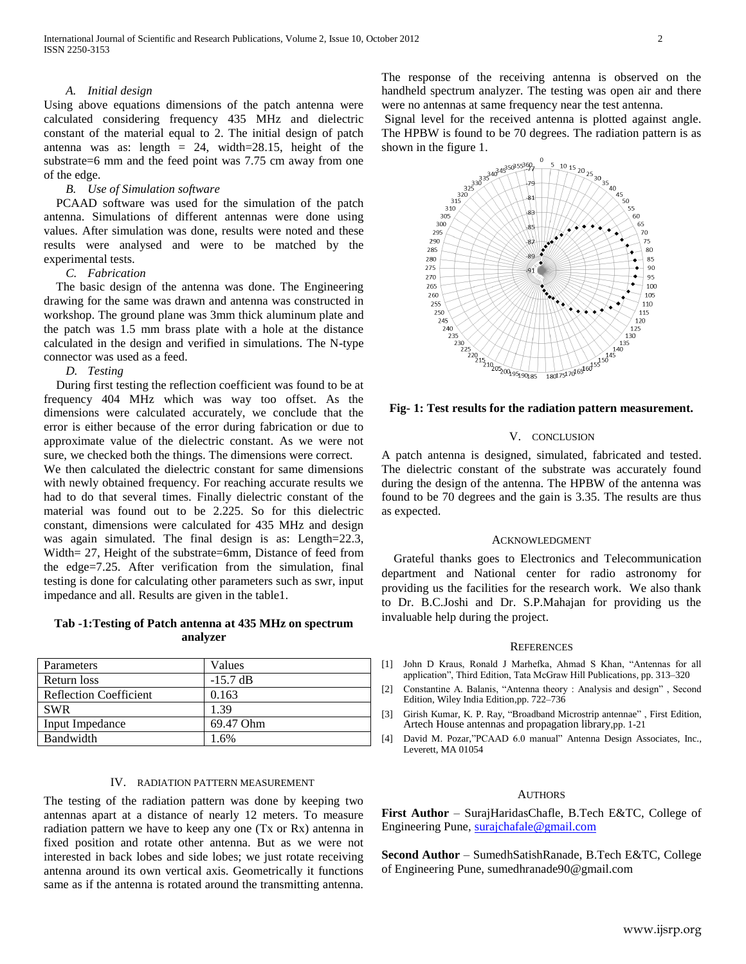# *A. Initial design*

Using above equations dimensions of the patch antenna were calculated considering frequency 435 MHz and dielectric constant of the material equal to 2. The initial design of patch antenna was as: length  $= 24$ , width=28.15, height of the substrate=6 mm and the feed point was 7.75 cm away from one of the edge.

# *B. Use of Simulation software*

 PCAAD software was used for the simulation of the patch antenna. Simulations of different antennas were done using values. After simulation was done, results were noted and these results were analysed and were to be matched by the experimental tests.

#### *C. Fabrication*

 The basic design of the antenna was done. The Engineering drawing for the same was drawn and antenna was constructed in workshop. The ground plane was 3mm thick aluminum plate and the patch was 1.5 mm brass plate with a hole at the distance calculated in the design and verified in simulations. The N-type connector was used as a feed.

# *D. Testing*

 During first testing the reflection coefficient was found to be at frequency 404 MHz which was way too offset. As the dimensions were calculated accurately, we conclude that the error is either because of the error during fabrication or due to approximate value of the dielectric constant. As we were not sure, we checked both the things. The dimensions were correct.

We then calculated the dielectric constant for same dimensions with newly obtained frequency. For reaching accurate results we had to do that several times. Finally dielectric constant of the material was found out to be 2.225. So for this dielectric constant, dimensions were calculated for 435 MHz and design was again simulated. The final design is as: Length=22.3, Width= 27, Height of the substrate=6mm, Distance of feed from the edge=7.25. After verification from the simulation, final testing is done for calculating other parameters such as swr, input impedance and all. Results are given in the table1.

# **Tab -1:Testing of Patch antenna at 435 MHz on spectrum analyzer**

| Parameters                    | Values     |
|-------------------------------|------------|
| Return loss                   | $-15.7$ dB |
| <b>Reflection Coefficient</b> | 0.163      |
| <b>SWR</b>                    | 1.39       |
| Input Impedance               | 69.47 Ohm  |
| <b>Bandwidth</b>              | 1.6%       |

# IV. RADIATION PATTERN MEASUREMENT

The testing of the radiation pattern was done by keeping two antennas apart at a distance of nearly 12 meters. To measure radiation pattern we have to keep any one (Tx or Rx) antenna in fixed position and rotate other antenna. But as we were not interested in back lobes and side lobes; we just rotate receiving antenna around its own vertical axis. Geometrically it functions same as if the antenna is rotated around the transmitting antenna.

The response of the receiving antenna is observed on the handheld spectrum analyzer. The testing was open air and there were no antennas at same frequency near the test antenna.

Signal level for the received antenna is plotted against angle. The HPBW is found to be 70 degrees. The radiation pattern is as



# **Fig- 1: Test results for the radiation pattern measurement.**

#### V. CONCLUSION

A patch antenna is designed, simulated, fabricated and tested. The dielectric constant of the substrate was accurately found during the design of the antenna. The HPBW of the antenna was found to be 70 degrees and the gain is 3.35. The results are thus as expected.

#### ACKNOWLEDGMENT

Grateful thanks goes to Electronics and Telecommunication department and National center for radio astronomy for providing us the facilities for the research work. We also thank to Dr. B.C.Joshi and Dr. S.P.Mahajan for providing us the invaluable help during the project.

#### **REFERENCES**

- [1] John D Kraus, Ronald J Marhefka, Ahmad S Khan, "Antennas for all application", Third Edition, Tata McGraw Hill Publications, pp. 313–320
- [2] Constantine A. Balanis, "Antenna theory : Analysis and design" , Second Edition, Wiley India Edition,pp. 722–736
- [3] Girish Kumar, K. P. Ray, "Broadband Microstrip antennae" , First Edition, Artech House antennas and propagation library,pp. 1-21
- [4] David M. Pozar,"PCAAD 6.0 manual" Antenna Design Associates, Inc., Leverett, MA 01054

# **AUTHORS**

**First Author** – SurajHaridasChafle, B.Tech E&TC, College of Engineering Pune, [surajchafale@gmail.com](mailto:surajchafale@gmail.com)

**Second Author** – SumedhSatishRanade, B.Tech E&TC, College of Engineering Pune, sumedhranade90@gmail.com